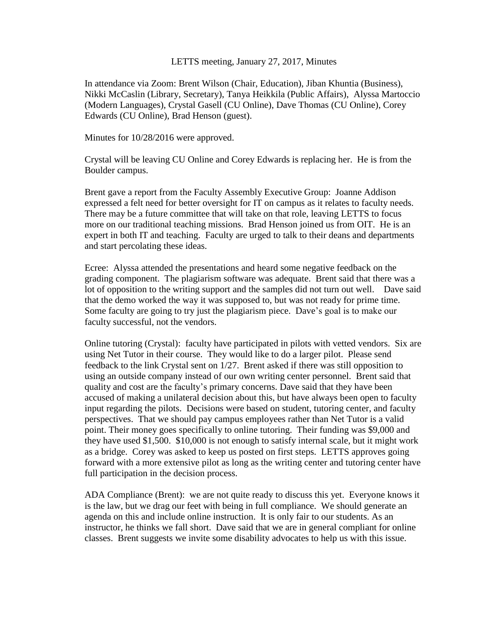#### LETTS meeting, January 27, 2017, Minutes

In attendance via Zoom: Brent Wilson (Chair, Education), Jiban Khuntia (Business), Nikki McCaslin (Library, Secretary), Tanya Heikkila (Public Affairs), Alyssa Martoccio (Modern Languages), Crystal Gasell (CU Online), Dave Thomas (CU Online), Corey Edwards (CU Online), Brad Henson (guest).

Minutes for 10/28/2016 were approved.

Crystal will be leaving CU Online and Corey Edwards is replacing her. He is from the Boulder campus.

Brent gave a report from the Faculty Assembly Executive Group: Joanne Addison expressed a felt need for better oversight for IT on campus as it relates to faculty needs. There may be a future committee that will take on that role, leaving LETTS to focus more on our traditional teaching missions. Brad Henson joined us from OIT. He is an expert in both IT and teaching. Faculty are urged to talk to their deans and departments and start percolating these ideas.

Ecree: Alyssa attended the presentations and heard some negative feedback on the grading component. The plagiarism software was adequate. Brent said that there was a lot of opposition to the writing support and the samples did not turn out well. Dave said that the demo worked the way it was supposed to, but was not ready for prime time. Some faculty are going to try just the plagiarism piece. Dave's goal is to make our faculty successful, not the vendors.

Online tutoring (Crystal): faculty have participated in pilots with vetted vendors. Six are using Net Tutor in their course. They would like to do a larger pilot. Please send feedback to the link Crystal sent on 1/27. Brent asked if there was still opposition to using an outside company instead of our own writing center personnel. Brent said that quality and cost are the faculty's primary concerns. Dave said that they have been accused of making a unilateral decision about this, but have always been open to faculty input regarding the pilots. Decisions were based on student, tutoring center, and faculty perspectives. That we should pay campus employees rather than Net Tutor is a valid point. Their money goes specifically to online tutoring. Their funding was \$9,000 and they have used \$1,500. \$10,000 is not enough to satisfy internal scale, but it might work as a bridge. Corey was asked to keep us posted on first steps. LETTS approves going forward with a more extensive pilot as long as the writing center and tutoring center have full participation in the decision process.

ADA Compliance (Brent): we are not quite ready to discuss this yet. Everyone knows it is the law, but we drag our feet with being in full compliance. We should generate an agenda on this and include online instruction. It is only fair to our students. As an instructor, he thinks we fall short. Dave said that we are in general compliant for online classes. Brent suggests we invite some disability advocates to help us with this issue.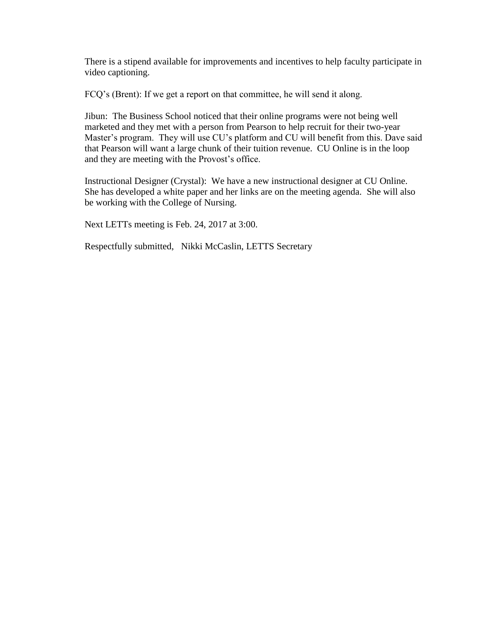There is a stipend available for improvements and incentives to help faculty participate in video captioning.

FCQ's (Brent): If we get a report on that committee, he will send it along.

Jibun: The Business School noticed that their online programs were not being well marketed and they met with a person from Pearson to help recruit for their two-year Master's program. They will use CU's platform and CU will benefit from this. Dave said that Pearson will want a large chunk of their tuition revenue. CU Online is in the loop and they are meeting with the Provost's office.

Instructional Designer (Crystal): We have a new instructional designer at CU Online. She has developed a white paper and her links are on the meeting agenda. She will also be working with the College of Nursing.

Next LETTs meeting is Feb. 24, 2017 at 3:00.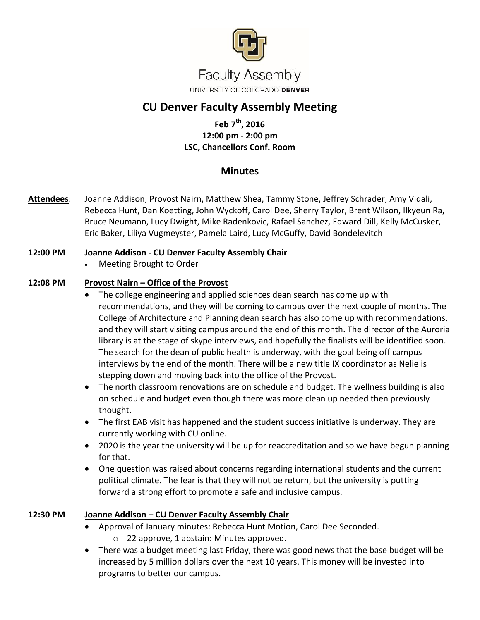

# **CU Denver Faculty Assembly Meeting**

# **Feb 7th, 2016 12:00 pm - 2:00 pm LSC, Chancellors Conf. Room**

# **Minutes**

**Attendees**: Joanne Addison, Provost Nairn, Matthew Shea, Tammy Stone, Jeffrey Schrader, Amy Vidali, Rebecca Hunt, Dan Koetting, John Wyckoff, Carol Dee, Sherry Taylor, Brent Wilson, Ilkyeun Ra, Bruce Neumann, Lucy Dwight, Mike Radenkovic, Rafael Sanchez, Edward Dill, Kelly McCusker, Eric Baker, Liliya Vugmeyster, Pamela Laird, Lucy McGuffy, David Bondelevitch

## **12:00 PM Joanne Addison - CU Denver Faculty Assembly Chair**

Meeting Brought to Order

## **12:08 PM Provost Nairn – Office of the Provost**

- The college engineering and applied sciences dean search has come up with recommendations, and they will be coming to campus over the next couple of months. The College of Architecture and Planning dean search has also come up with recommendations, and they will start visiting campus around the end of this month. The director of the Auroria library is at the stage of skype interviews, and hopefully the finalists will be identified soon. The search for the dean of public health is underway, with the goal being off campus interviews by the end of the month. There will be a new title IX coordinator as Nelie is stepping down and moving back into the office of the Provost.
- The north classroom renovations are on schedule and budget. The wellness building is also on schedule and budget even though there was more clean up needed then previously thought.
- The first EAB visit has happened and the student success initiative is underway. They are currently working with CU online.
- 2020 is the year the university will be up for reaccreditation and so we have begun planning for that.
- One question was raised about concerns regarding international students and the current political climate. The fear is that they will not be return, but the university is putting forward a strong effort to promote a safe and inclusive campus.

## **12:30 PM Joanne Addison – CU Denver Faculty Assembly Chair**

- Approval of January minutes: Rebecca Hunt Motion, Carol Dee Seconded. o 22 approve, 1 abstain: Minutes approved.
- There was a budget meeting last Friday, there was good news that the base budget will be increased by 5 million dollars over the next 10 years. This money will be invested into programs to better our campus.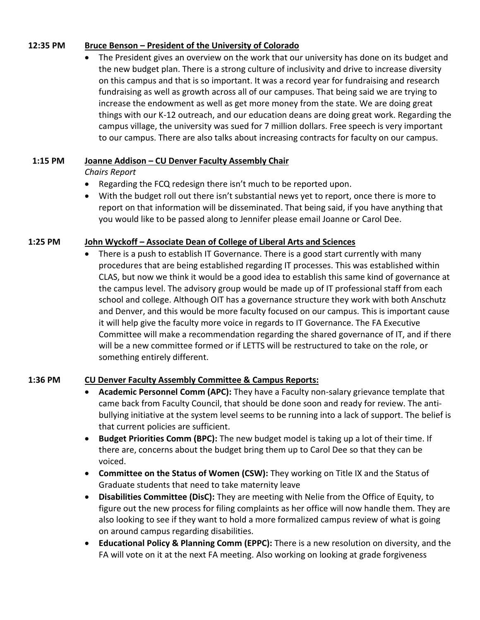#### **12:35 PM Bruce Benson – President of the University of Colorado**

 The President gives an overview on the work that our university has done on its budget and the new budget plan. There is a strong culture of inclusivity and drive to increase diversity on this campus and that is so important. It was a record year for fundraising and research fundraising as well as growth across all of our campuses. That being said we are trying to increase the endowment as well as get more money from the state. We are doing great things with our K-12 outreach, and our education deans are doing great work. Regarding the campus village, the university was sued for 7 million dollars. Free speech is very important to our campus. There are also talks about increasing contracts for faculty on our campus.

## **1:15 PM Joanne Addison – CU Denver Faculty Assembly Chair**

*Chairs Report*

- Regarding the FCQ redesign there isn't much to be reported upon.
- With the budget roll out there isn't substantial news yet to report, once there is more to report on that information will be disseminated. That being said, if you have anything that you would like to be passed along to Jennifer please email Joanne or Carol Dee.

## **1:25 PM John Wyckoff – Associate Dean of College of Liberal Arts and Sciences**

 There is a push to establish IT Governance. There is a good start currently with many procedures that are being established regarding IT processes. This was established within CLAS, but now we think it would be a good idea to establish this same kind of governance at the campus level. The advisory group would be made up of IT professional staff from each school and college. Although OIT has a governance structure they work with both Anschutz and Denver, and this would be more faculty focused on our campus. This is important cause it will help give the faculty more voice in regards to IT Governance. The FA Executive Committee will make a recommendation regarding the shared governance of IT, and if there will be a new committee formed or if LETTS will be restructured to take on the role, or something entirely different.

## **1:36 PM CU Denver Faculty Assembly Committee & Campus Reports:**

- **Academic Personnel Comm (APC):** They have a Faculty non-salary grievance template that came back from Faculty Council, that should be done soon and ready for review. The antibullying initiative at the system level seems to be running into a lack of support. The belief is that current policies are sufficient.
- **Budget Priorities Comm (BPC):** The new budget model is taking up a lot of their time. If there are, concerns about the budget bring them up to Carol Dee so that they can be voiced.
- **Committee on the Status of Women (CSW):** They working on Title IX and the Status of Graduate students that need to take maternity leave
- **Disabilities Committee (DisC):** They are meeting with Nelie from the Office of Equity, to figure out the new process for filing complaints as her office will now handle them. They are also looking to see if they want to hold a more formalized campus review of what is going on around campus regarding disabilities.
- **Educational Policy & Planning Comm (EPPC):** There is a new resolution on diversity, and the FA will vote on it at the next FA meeting. Also working on looking at grade forgiveness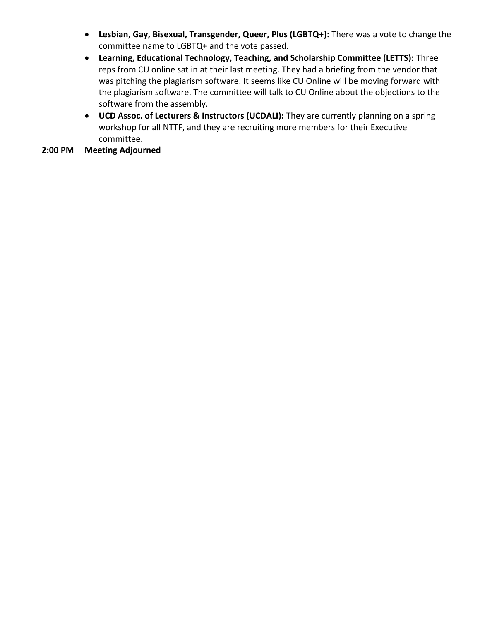- **Lesbian, Gay, Bisexual, Transgender, Queer, Plus (LGBTQ+):** There was a vote to change the committee name to LGBTQ+ and the vote passed.
- **Learning, Educational Technology, Teaching, and Scholarship Committee (LETTS):** Three reps from CU online sat in at their last meeting. They had a briefing from the vendor that was pitching the plagiarism software. It seems like CU Online will be moving forward with the plagiarism software. The committee will talk to CU Online about the objections to the software from the assembly.
- **UCD Assoc. of Lecturers & Instructors (UCDALI):** They are currently planning on a spring workshop for all NTTF, and they are recruiting more members for their Executive committee.

#### **2:00 PM Meeting Adjourned**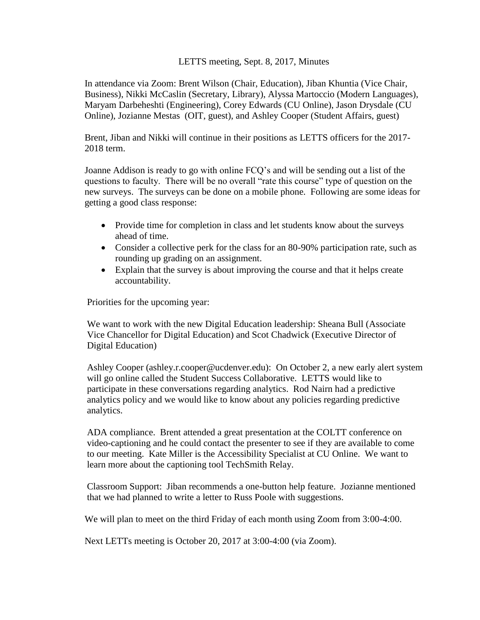#### LETTS meeting, Sept. 8, 2017, Minutes

In attendance via Zoom: Brent Wilson (Chair, Education), Jiban Khuntia (Vice Chair, Business), Nikki McCaslin (Secretary, Library), Alyssa Martoccio (Modern Languages), Maryam Darbeheshti (Engineering), Corey Edwards (CU Online), Jason Drysdale (CU Online), Jozianne Mestas (OIT, guest), and Ashley Cooper (Student Affairs, guest)

Brent, Jiban and Nikki will continue in their positions as LETTS officers for the 2017- 2018 term.

Joanne Addison is ready to go with online FCQ's and will be sending out a list of the questions to faculty. There will be no overall "rate this course" type of question on the new surveys. The surveys can be done on a mobile phone. Following are some ideas for getting a good class response:

- Provide time for completion in class and let students know about the surveys ahead of time.
- Consider a collective perk for the class for an 80-90% participation rate, such as rounding up grading on an assignment.
- Explain that the survey is about improving the course and that it helps create accountability.

Priorities for the upcoming year:

We want to work with the new Digital Education leadership: Sheana Bull (Associate Vice Chancellor for Digital Education) and Scot Chadwick (Executive Director of Digital Education)

Ashley Cooper (ashley.r.cooper@ucdenver.edu): On October 2, a new early alert system will go online called the Student Success Collaborative. LETTS would like to participate in these conversations regarding analytics. Rod Nairn had a predictive analytics policy and we would like to know about any policies regarding predictive analytics.

ADA compliance. Brent attended a great presentation at the COLTT conference on video-captioning and he could contact the presenter to see if they are available to come to our meeting. Kate Miller is the Accessibility Specialist at CU Online. We want to learn more about the captioning tool TechSmith Relay.

Classroom Support: Jiban recommends a one-button help feature. Jozianne mentioned that we had planned to write a letter to Russ Poole with suggestions.

We will plan to meet on the third Friday of each month using Zoom from 3:00-4:00.

Next LETTs meeting is October 20, 2017 at 3:00-4:00 (via Zoom).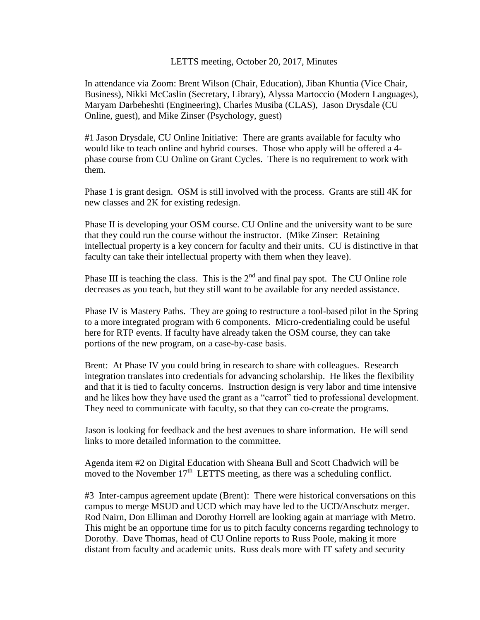#### LETTS meeting, October 20, 2017, Minutes

In attendance via Zoom: Brent Wilson (Chair, Education), Jiban Khuntia (Vice Chair, Business), Nikki McCaslin (Secretary, Library), Alyssa Martoccio (Modern Languages), Maryam Darbeheshti (Engineering), Charles Musiba (CLAS), Jason Drysdale (CU Online, guest), and Mike Zinser (Psychology, guest)

#1 Jason Drysdale, CU Online Initiative: There are grants available for faculty who would like to teach online and hybrid courses. Those who apply will be offered a 4 phase course from CU Online on Grant Cycles. There is no requirement to work with them.

Phase 1 is grant design. OSM is still involved with the process. Grants are still 4K for new classes and 2K for existing redesign.

Phase II is developing your OSM course. CU Online and the university want to be sure that they could run the course without the instructor. (Mike Zinser: Retaining intellectual property is a key concern for faculty and their units. CU is distinctive in that faculty can take their intellectual property with them when they leave).

Phase III is teaching the class. This is the  $2<sup>nd</sup>$  and final pay spot. The CU Online role decreases as you teach, but they still want to be available for any needed assistance.

Phase IV is Mastery Paths. They are going to restructure a tool-based pilot in the Spring to a more integrated program with 6 components. Micro-credentialing could be useful here for RTP events. If faculty have already taken the OSM course, they can take portions of the new program, on a case-by-case basis.

Brent: At Phase IV you could bring in research to share with colleagues. Research integration translates into credentials for advancing scholarship. He likes the flexibility and that it is tied to faculty concerns. Instruction design is very labor and time intensive and he likes how they have used the grant as a "carrot" tied to professional development. They need to communicate with faculty, so that they can co-create the programs.

Jason is looking for feedback and the best avenues to share information. He will send links to more detailed information to the committee.

Agenda item #2 on Digital Education with Sheana Bull and Scott Chadwich will be moved to the November  $17<sup>th</sup>$  LETTS meeting, as there was a scheduling conflict.

#3 Inter-campus agreement update (Brent): There were historical conversations on this campus to merge MSUD and UCD which may have led to the UCD/Anschutz merger. Rod Nairn, Don Elliman and Dorothy Horrell are looking again at marriage with Metro. This might be an opportune time for us to pitch faculty concerns regarding technology to Dorothy. Dave Thomas, head of CU Online reports to Russ Poole, making it more distant from faculty and academic units. Russ deals more with IT safety and security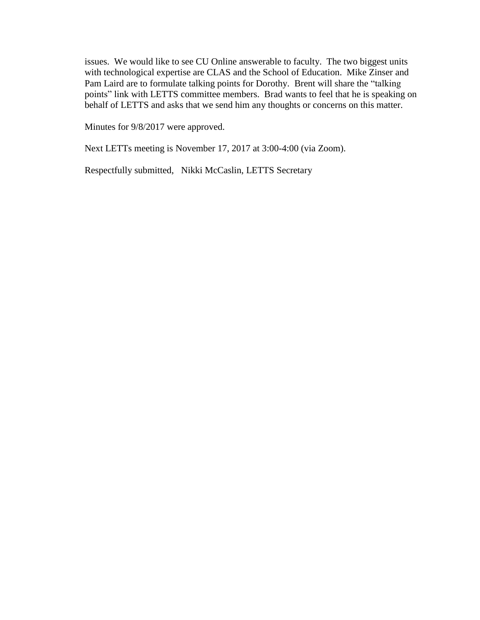issues. We would like to see CU Online answerable to faculty. The two biggest units with technological expertise are CLAS and the School of Education. Mike Zinser and Pam Laird are to formulate talking points for Dorothy. Brent will share the "talking points" link with LETTS committee members. Brad wants to feel that he is speaking on behalf of LETTS and asks that we send him any thoughts or concerns on this matter.

Minutes for 9/8/2017 were approved.

Next LETTs meeting is November 17, 2017 at 3:00-4:00 (via Zoom).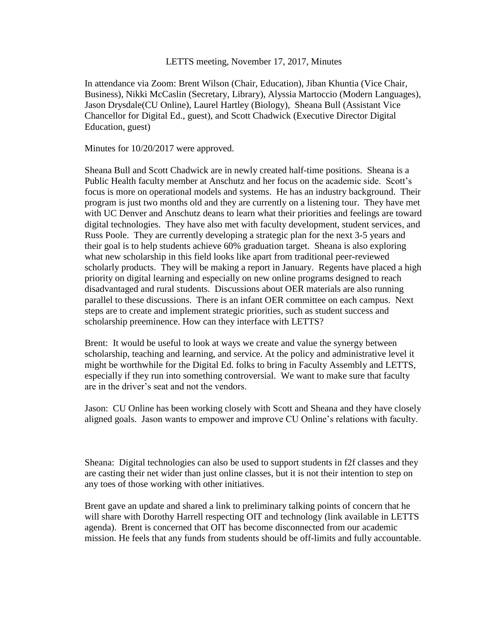#### LETTS meeting, November 17, 2017, Minutes

In attendance via Zoom: Brent Wilson (Chair, Education), Jiban Khuntia (Vice Chair, Business), Nikki McCaslin (Secretary, Library), Alyssia Martoccio (Modern Languages), Jason Drysdale(CU Online), Laurel Hartley (Biology), Sheana Bull (Assistant Vice Chancellor for Digital Ed., guest), and Scott Chadwick (Executive Director Digital Education, guest)

Minutes for 10/20/2017 were approved.

Sheana Bull and Scott Chadwick are in newly created half-time positions. Sheana is a Public Health faculty member at Anschutz and her focus on the academic side. Scott's focus is more on operational models and systems. He has an industry background. Their program is just two months old and they are currently on a listening tour. They have met with UC Denver and Anschutz deans to learn what their priorities and feelings are toward digital technologies. They have also met with faculty development, student services, and Russ Poole. They are currently developing a strategic plan for the next 3-5 years and their goal is to help students achieve 60% graduation target. Sheana is also exploring what new scholarship in this field looks like apart from traditional peer-reviewed scholarly products. They will be making a report in January. Regents have placed a high priority on digital learning and especially on new online programs designed to reach disadvantaged and rural students. Discussions about OER materials are also running parallel to these discussions. There is an infant OER committee on each campus. Next steps are to create and implement strategic priorities, such as student success and scholarship preeminence. How can they interface with LETTS?

Brent: It would be useful to look at ways we create and value the synergy between scholarship, teaching and learning, and service. At the policy and administrative level it might be worthwhile for the Digital Ed. folks to bring in Faculty Assembly and LETTS, especially if they run into something controversial. We want to make sure that faculty are in the driver's seat and not the vendors.

Jason: CU Online has been working closely with Scott and Sheana and they have closely aligned goals. Jason wants to empower and improve CU Online's relations with faculty.

Sheana: Digital technologies can also be used to support students in f2f classes and they are casting their net wider than just online classes, but it is not their intention to step on any toes of those working with other initiatives.

Brent gave an update and shared a link to preliminary talking points of concern that he will share with Dorothy Harrell respecting OIT and technology (link available in LETTS agenda). Brent is concerned that OIT has become disconnected from our academic mission. He feels that any funds from students should be off-limits and fully accountable.